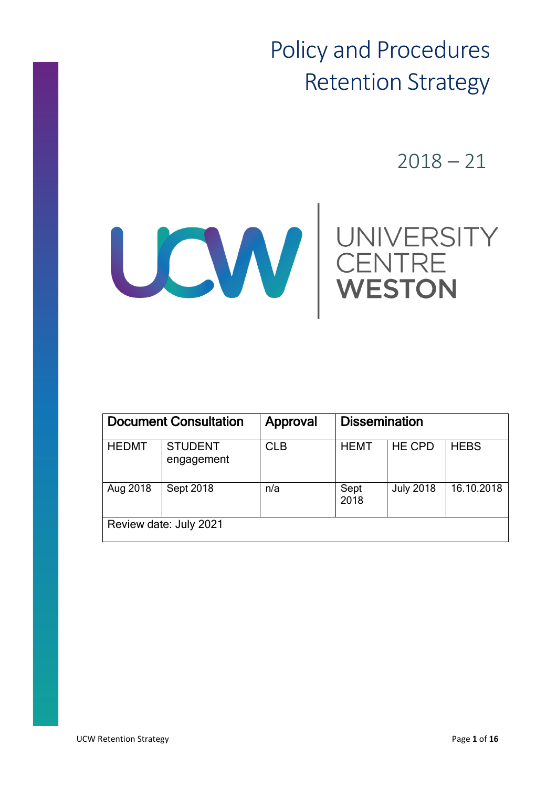Policy and Procedures Retention Strategy

 $2018 - 21$ 



| <b>Document Consultation</b> |                              | Approval   | <b>Dissemination</b> |                  |             |
|------------------------------|------------------------------|------------|----------------------|------------------|-------------|
| <b>HEDMT</b>                 | <b>STUDENT</b><br>engagement | <b>CLB</b> | <b>HEMT</b>          | <b>HE CPD</b>    | <b>HEBS</b> |
| Aug 2018                     | <b>Sept 2018</b>             | n/a        | Sept<br>2018         | <b>July 2018</b> | 16.10.2018  |
| Review date: July 2021       |                              |            |                      |                  |             |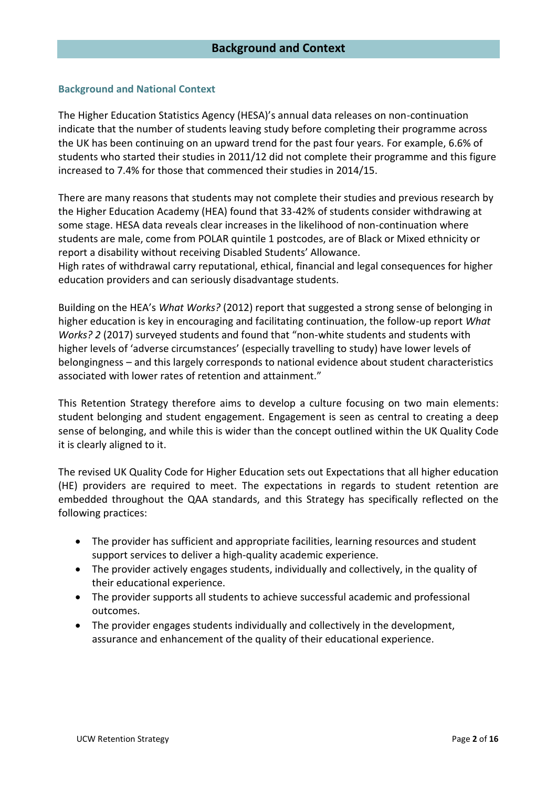#### **Background and National Context**

The Higher Education Statistics Agency (HESA)'s annual data releases on non-continuation indicate that the number of students leaving study before completing their programme across the UK has been continuing on an upward trend for the past four years. For example, 6.6% of students who started their studies in 2011/12 did not complete their programme and this figure increased to 7.4% for those that commenced their studies in 2014/15.

There are many reasons that students may not complete their studies and previous research by the Higher Education Academy (HEA) found that 33-42% of students consider withdrawing at some stage. HESA data reveals clear increases in the likelihood of non-continuation where students are male, come from POLAR quintile 1 postcodes, are of Black or Mixed ethnicity or report a disability without receiving Disabled Students' Allowance.

High rates of withdrawal carry reputational, ethical, financial and legal consequences for higher education providers and can seriously disadvantage students.

Building on the HEA's *What Works?* (2012) report that suggested a strong sense of belonging in higher education is key in encouraging and facilitating continuation, the follow-up report *What Works? 2* (2017) surveyed students and found that "non-white students and students with higher levels of 'adverse circumstances' (especially travelling to study) have lower levels of belongingness – and this largely corresponds to national evidence about student characteristics associated with lower rates of retention and attainment."

This Retention Strategy therefore aims to develop a culture focusing on two main elements: student belonging and student engagement. Engagement is seen as central to creating a deep sense of belonging, and while this is wider than the concept outlined within the UK Quality Code it is clearly aligned to it.

The revised UK Quality Code for Higher Education sets out Expectations that all higher education (HE) providers are required to meet. The expectations in regards to student retention are embedded throughout the QAA standards, and this Strategy has specifically reflected on the following practices:

- The provider has sufficient and appropriate facilities, learning resources and student support services to deliver a high-quality academic experience.
- The provider actively engages students, individually and collectively, in the quality of their educational experience.
- The provider supports all students to achieve successful academic and professional outcomes.
- The provider engages students individually and collectively in the development, assurance and enhancement of the quality of their educational experience.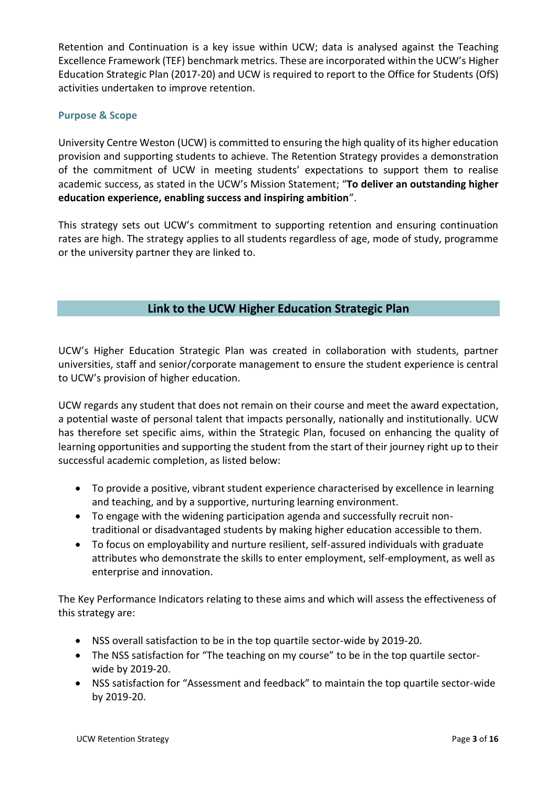Retention and Continuation is a key issue within UCW; data is analysed against the Teaching Excellence Framework (TEF) benchmark metrics. These are incorporated within the UCW's Higher Education Strategic Plan (2017-20) and UCW is required to report to the Office for Students (OfS) activities undertaken to improve retention.

# **Purpose & Scope**

University Centre Weston (UCW) is committed to ensuring the high quality of its higher education provision and supporting students to achieve. The Retention Strategy provides a demonstration of the commitment of UCW in meeting students' expectations to support them to realise academic success, as stated in the UCW's Mission Statement; "**To deliver an outstanding higher education experience, enabling success and inspiring ambition**".

This strategy sets out UCW's commitment to supporting retention and ensuring continuation rates are high. The strategy applies to all students regardless of age, mode of study, programme or the university partner they are linked to.

# **Link to the UCW Higher Education Strategic Plan**

UCW's Higher Education Strategic Plan was created in collaboration with students, partner universities, staff and senior/corporate management to ensure the student experience is central to UCW's provision of higher education.

UCW regards any student that does not remain on their course and meet the award expectation, a potential waste of personal talent that impacts personally, nationally and institutionally. UCW has therefore set specific aims, within the Strategic Plan, focused on enhancing the quality of learning opportunities and supporting the student from the start of their journey right up to their successful academic completion, as listed below:

- To provide a positive, vibrant student experience characterised by excellence in learning and teaching, and by a supportive, nurturing learning environment.
- To engage with the widening participation agenda and successfully recruit nontraditional or disadvantaged students by making higher education accessible to them.
- To focus on employability and nurture resilient, self-assured individuals with graduate attributes who demonstrate the skills to enter employment, self-employment, as well as enterprise and innovation.

The Key Performance Indicators relating to these aims and which will assess the effectiveness of this strategy are:

- NSS overall satisfaction to be in the top quartile sector-wide by 2019-20.
- The NSS satisfaction for "The teaching on my course" to be in the top quartile sectorwide by 2019-20.
- NSS satisfaction for "Assessment and feedback" to maintain the top quartile sector-wide by 2019-20.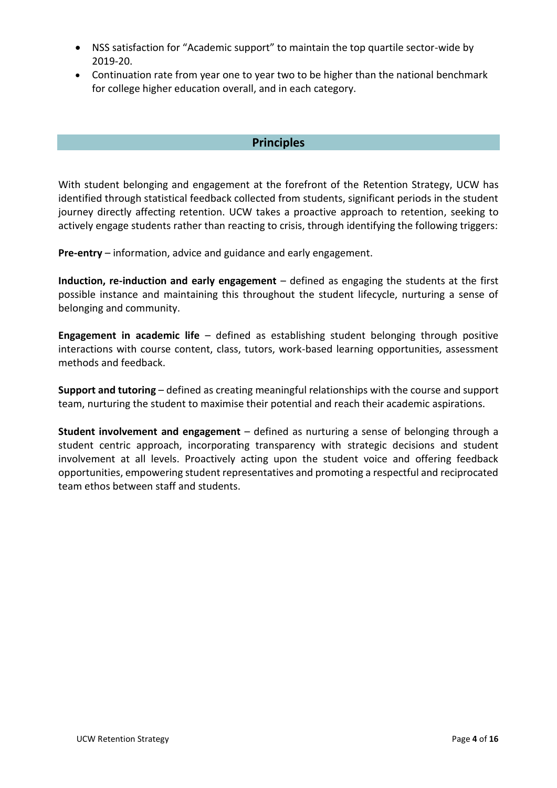- NSS satisfaction for "Academic support" to maintain the top quartile sector-wide by 2019-20.
- Continuation rate from year one to year two to be higher than the national benchmark for college higher education overall, and in each category.

# **Principles**

With student belonging and engagement at the forefront of the Retention Strategy, UCW has identified through statistical feedback collected from students, significant periods in the student journey directly affecting retention. UCW takes a proactive approach to retention, seeking to actively engage students rather than reacting to crisis, through identifying the following triggers:

**Pre-entry** – information, advice and guidance and early engagement.

**Induction, re-induction and early engagement** – defined as engaging the students at the first possible instance and maintaining this throughout the student lifecycle, nurturing a sense of belonging and community.

**Engagement in academic life** – defined as establishing student belonging through positive interactions with course content, class, tutors, work-based learning opportunities, assessment methods and feedback.

**Support and tutoring** – defined as creating meaningful relationships with the course and support team, nurturing the student to maximise their potential and reach their academic aspirations.

**Student involvement and engagement** – defined as nurturing a sense of belonging through a student centric approach, incorporating transparency with strategic decisions and student involvement at all levels. Proactively acting upon the student voice and offering feedback opportunities, empowering student representatives and promoting a respectful and reciprocated team ethos between staff and students.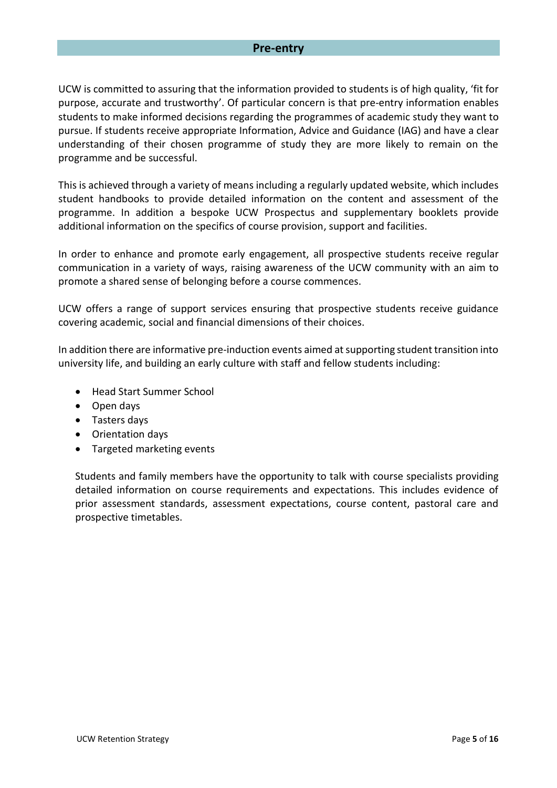#### **Pre-entry**

UCW is committed to assuring that the information provided to students is of high quality, 'fit for purpose, accurate and trustworthy'. Of particular concern is that pre-entry information enables students to make informed decisions regarding the programmes of academic study they want to pursue. If students receive appropriate Information, Advice and Guidance (IAG) and have a clear understanding of their chosen programme of study they are more likely to remain on the programme and be successful.

This is achieved through a variety of means including a regularly updated website, which includes student handbooks to provide detailed information on the content and assessment of the programme. In addition a bespoke UCW Prospectus and supplementary booklets provide additional information on the specifics of course provision, support and facilities.

In order to enhance and promote early engagement, all prospective students receive regular communication in a variety of ways, raising awareness of the UCW community with an aim to promote a shared sense of belonging before a course commences.

UCW offers a range of support services ensuring that prospective students receive guidance covering academic, social and financial dimensions of their choices.

In addition there are informative pre-induction events aimed at supporting student transition into university life, and building an early culture with staff and fellow students including:

- Head Start Summer School
- Open days
- Tasters days
- Orientation days
- Targeted marketing events

Students and family members have the opportunity to talk with course specialists providing detailed information on course requirements and expectations. This includes evidence of prior assessment standards, assessment expectations, course content, pastoral care and prospective timetables.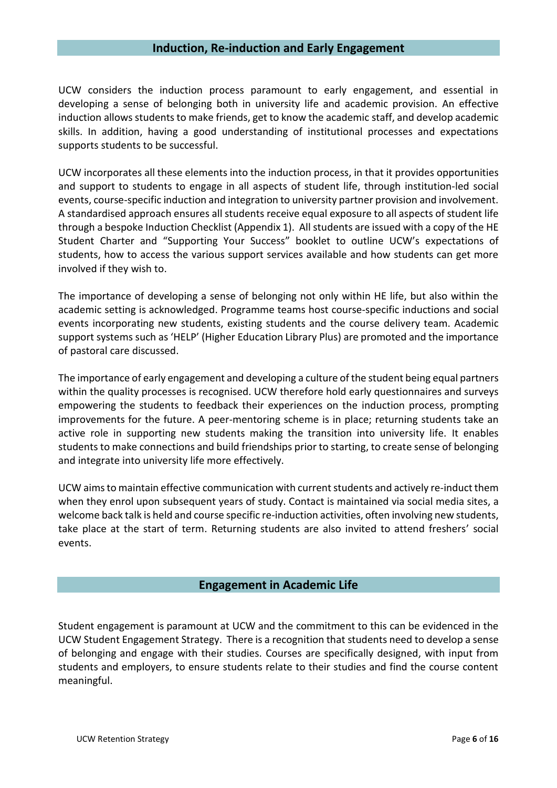### **Induction, Re-induction and Early Engagement**

UCW considers the induction process paramount to early engagement, and essential in developing a sense of belonging both in university life and academic provision. An effective induction allows students to make friends, get to know the academic staff, and develop academic skills. In addition, having a good understanding of institutional processes and expectations supports students to be successful.

UCW incorporates all these elements into the induction process, in that it provides opportunities and support to students to engage in all aspects of student life, through institution-led social events, course-specific induction and integration to university partner provision and involvement. A standardised approach ensures all students receive equal exposure to all aspects of student life through a bespoke Induction Checklist (Appendix 1). All students are issued with a copy of the HE Student Charter and "Supporting Your Success" booklet to outline UCW's expectations of students, how to access the various support services available and how students can get more involved if they wish to.

The importance of developing a sense of belonging not only within HE life, but also within the academic setting is acknowledged. Programme teams host course-specific inductions and social events incorporating new students, existing students and the course delivery team. Academic support systems such as 'HELP' (Higher Education Library Plus) are promoted and the importance of pastoral care discussed.

The importance of early engagement and developing a culture of the student being equal partners within the quality processes is recognised. UCW therefore hold early questionnaires and surveys empowering the students to feedback their experiences on the induction process, prompting improvements for the future. A peer-mentoring scheme is in place; returning students take an active role in supporting new students making the transition into university life. It enables students to make connections and build friendships prior to starting, to create sense of belonging and integrate into university life more effectively.

UCW aims to maintain effective communication with current students and actively re-induct them when they enrol upon subsequent years of study. Contact is maintained via social media sites, a welcome back talk is held and course specific re-induction activities, often involving new students, take place at the start of term. Returning students are also invited to attend freshers' social events.

### **Engagement in Academic Life**

Student engagement is paramount at UCW and the commitment to this can be evidenced in the UCW Student Engagement Strategy. There is a recognition that students need to develop a sense of belonging and engage with their studies. Courses are specifically designed, with input from students and employers, to ensure students relate to their studies and find the course content meaningful.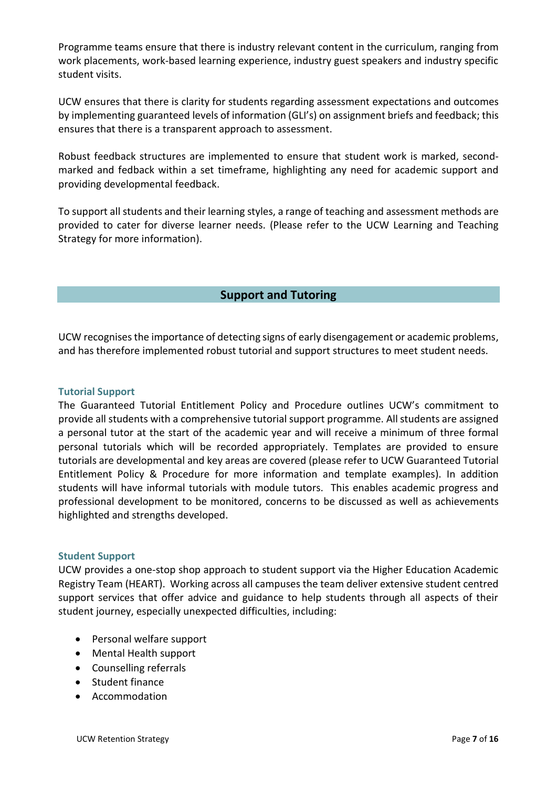Programme teams ensure that there is industry relevant content in the curriculum, ranging from work placements, work-based learning experience, industry guest speakers and industry specific student visits.

UCW ensures that there is clarity for students regarding assessment expectations and outcomes by implementing guaranteed levels of information (GLI's) on assignment briefs and feedback; this ensures that there is a transparent approach to assessment.

Robust feedback structures are implemented to ensure that student work is marked, secondmarked and fedback within a set timeframe, highlighting any need for academic support and providing developmental feedback.

To support all students and their learning styles, a range of teaching and assessment methods are provided to cater for diverse learner needs. (Please refer to the UCW Learning and Teaching Strategy for more information).

# **Support and Tutoring**

UCW recognisesthe importance of detecting signs of early disengagement or academic problems, and has therefore implemented robust tutorial and support structures to meet student needs.

### **Tutorial Support**

The Guaranteed Tutorial Entitlement Policy and Procedure outlines UCW's commitment to provide all students with a comprehensive tutorial support programme. All students are assigned a personal tutor at the start of the academic year and will receive a minimum of three formal personal tutorials which will be recorded appropriately. Templates are provided to ensure tutorials are developmental and key areas are covered (please refer to UCW Guaranteed Tutorial Entitlement Policy & Procedure for more information and template examples). In addition students will have informal tutorials with module tutors. This enables academic progress and professional development to be monitored, concerns to be discussed as well as achievements highlighted and strengths developed.

### **Student Support**

UCW provides a one-stop shop approach to student support via the Higher Education Academic Registry Team (HEART). Working across all campuses the team deliver extensive student centred support services that offer advice and guidance to help students through all aspects of their student journey, especially unexpected difficulties, including:

- Personal welfare support
- Mental Health support
- Counselling referrals
- Student finance
- Accommodation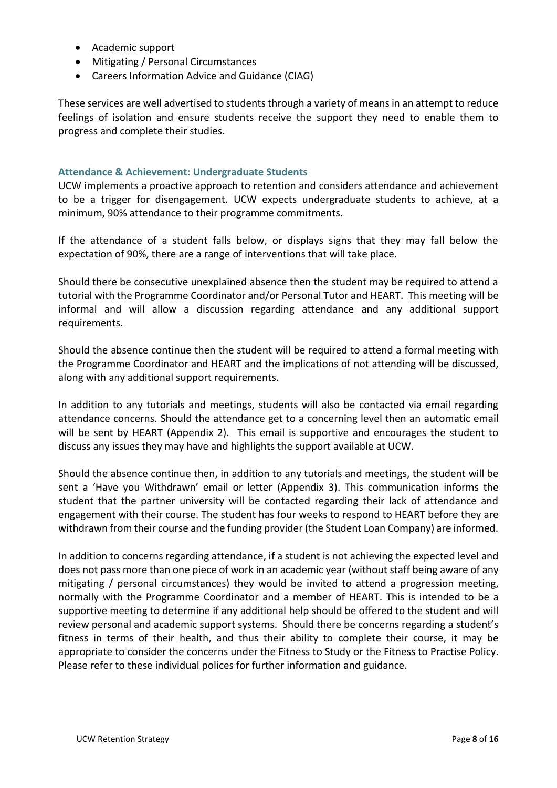- Academic support
- Mitigating / Personal Circumstances
- Careers Information Advice and Guidance (CIAG)

These services are well advertised to students through a variety of means in an attempt to reduce feelings of isolation and ensure students receive the support they need to enable them to progress and complete their studies.

# **Attendance & Achievement: Undergraduate Students**

UCW implements a proactive approach to retention and considers attendance and achievement to be a trigger for disengagement. UCW expects undergraduate students to achieve, at a minimum, 90% attendance to their programme commitments.

If the attendance of a student falls below, or displays signs that they may fall below the expectation of 90%, there are a range of interventions that will take place.

Should there be consecutive unexplained absence then the student may be required to attend a tutorial with the Programme Coordinator and/or Personal Tutor and HEART. This meeting will be informal and will allow a discussion regarding attendance and any additional support requirements.

Should the absence continue then the student will be required to attend a formal meeting with the Programme Coordinator and HEART and the implications of not attending will be discussed, along with any additional support requirements.

In addition to any tutorials and meetings, students will also be contacted via email regarding attendance concerns. Should the attendance get to a concerning level then an automatic email will be sent by HEART (Appendix 2). This email is supportive and encourages the student to discuss any issues they may have and highlights the support available at UCW.

Should the absence continue then, in addition to any tutorials and meetings, the student will be sent a 'Have you Withdrawn' email or letter (Appendix 3). This communication informs the student that the partner university will be contacted regarding their lack of attendance and engagement with their course. The student has four weeks to respond to HEART before they are withdrawn from their course and the funding provider (the Student Loan Company) are informed.

In addition to concerns regarding attendance, if a student is not achieving the expected level and does not pass more than one piece of work in an academic year (without staff being aware of any mitigating / personal circumstances) they would be invited to attend a progression meeting, normally with the Programme Coordinator and a member of HEART. This is intended to be a supportive meeting to determine if any additional help should be offered to the student and will review personal and academic support systems. Should there be concerns regarding a student's fitness in terms of their health, and thus their ability to complete their course, it may be appropriate to consider the concerns under the Fitness to Study or the Fitness to Practise Policy. Please refer to these individual polices for further information and guidance.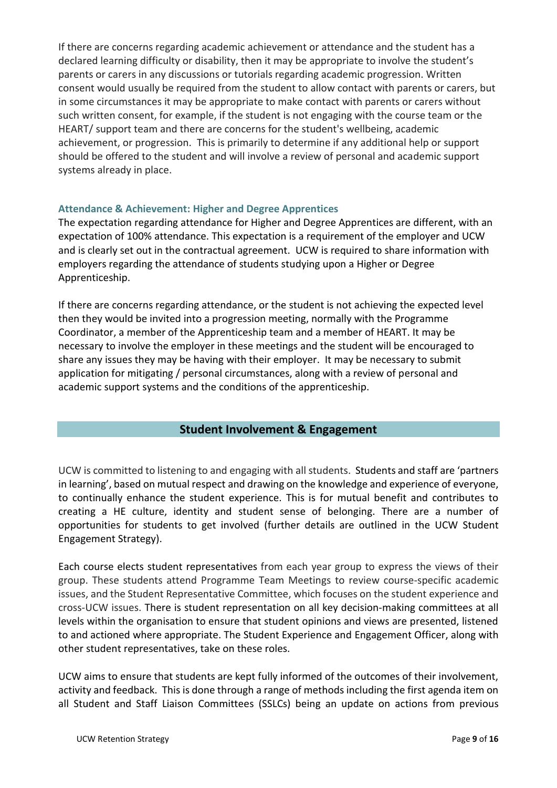If there are concerns regarding academic achievement or attendance and the student has a declared learning difficulty or disability, then it may be appropriate to involve the student's parents or carers in any discussions or tutorials regarding academic progression. Written consent would usually be required from the student to allow contact with parents or carers, but in some circumstances it may be appropriate to make contact with parents or carers without such written consent, for example, if the student is not engaging with the course team or the HEART/ support team and there are concerns for the student's wellbeing, academic achievement, or progression. This is primarily to determine if any additional help or support should be offered to the student and will involve a review of personal and academic support systems already in place.

#### **Attendance & Achievement: Higher and Degree Apprentices**

The expectation regarding attendance for Higher and Degree Apprentices are different, with an expectation of 100% attendance. This expectation is a requirement of the employer and UCW and is clearly set out in the contractual agreement. UCW is required to share information with employers regarding the attendance of students studying upon a Higher or Degree Apprenticeship.

If there are concerns regarding attendance, or the student is not achieving the expected level then they would be invited into a progression meeting, normally with the Programme Coordinator, a member of the Apprenticeship team and a member of HEART. It may be necessary to involve the employer in these meetings and the student will be encouraged to share any issues they may be having with their employer. It may be necessary to submit application for mitigating / personal circumstances, along with a review of personal and academic support systems and the conditions of the apprenticeship.

# **Student Involvement & Engagement**

UCW is committed to listening to and engaging with all students. Students and staff are 'partners in learning', based on mutual respect and drawing on the knowledge and experience of everyone, to continually enhance the student experience. This is for mutual benefit and contributes to creating a HE culture, identity and student sense of belonging. There are a number of opportunities for students to get involved (further details are outlined in the UCW Student Engagement Strategy).

Each course elects student representatives from each year group to express the views of their group. These students attend Programme Team Meetings to review course-specific academic issues, and the Student Representative Committee, which focuses on the student experience and cross-UCW issues. There is student representation on all key decision-making committees at all levels within the organisation to ensure that student opinions and views are presented, listened to and actioned where appropriate. The Student Experience and Engagement Officer, along with other student representatives, take on these roles.

UCW aims to ensure that students are kept fully informed of the outcomes of their involvement, activity and feedback. This is done through a range of methods including the first agenda item on all Student and Staff Liaison Committees (SSLCs) being an update on actions from previous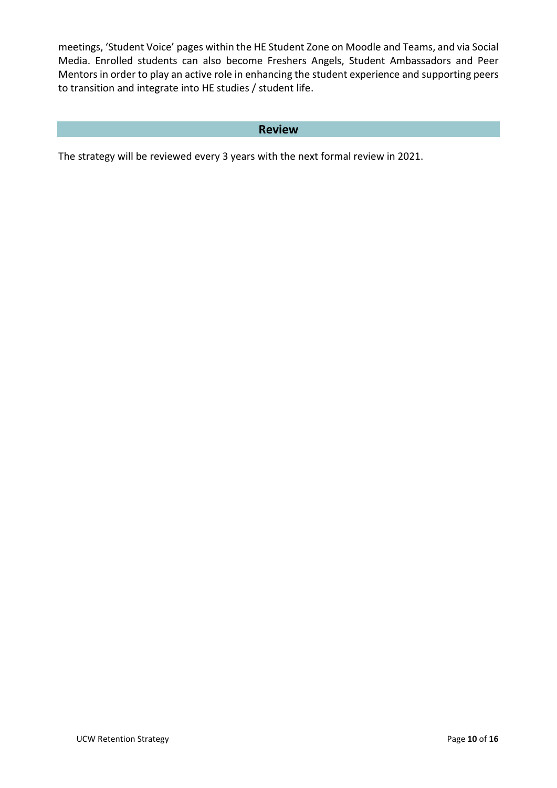meetings, 'Student Voice' pages within the HE Student Zone on Moodle and Teams, and via Social Media. Enrolled students can also become Freshers Angels, Student Ambassadors and Peer Mentors in order to play an active role in enhancing the student experience and supporting peers to transition and integrate into HE studies / student life.

# **Review**

The strategy will be reviewed every 3 years with the next formal review in 2021.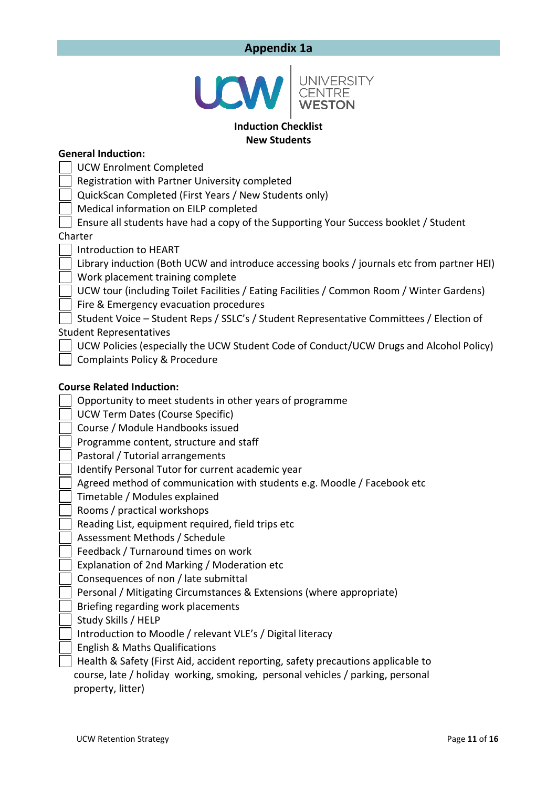# **Appendix 1a**

|  | <b>UNIVERSITY</b><br>CENTRE<br><b>WESTON</b> |
|--|----------------------------------------------|
|--|----------------------------------------------|

#### **Induction Checklist New Students**

#### **General Induction:**

UCW Enrolment Completed

Registration with Partner University completed

QuickScan Completed (First Years / New Students only)

Medical information on EILP completed

Ensure all students have had a copy of the Supporting Your Success booklet / Student

#### Charter

Introduction to HEART

 Library induction (Both UCW and introduce accessing books / journals etc from partner HEI) Work placement training complete

UCW tour (including Toilet Facilities / Eating Facilities / Common Room / Winter Gardens)

Fire & Emergency evacuation procedures

 Student Voice – Student Reps / SSLC's / Student Representative Committees / Election of Student Representatives

UCW Policies (especially the UCW Student Code of Conduct/UCW Drugs and Alcohol Policy)

Complaints Policy & Procedure

#### **Course Related Induction:**

Opportunity to meet students in other years of programme

UCW Term Dates (Course Specific)

Course / Module Handbooks issued

Programme content, structure and staff

Pastoral / Tutorial arrangements

Identify Personal Tutor for current academic year

Agreed method of communication with students e.g. Moodle / Facebook etc

Timetable / Modules explained

Rooms / practical workshops

Reading List, equipment required, field trips etc

Assessment Methods / Schedule

Feedback / Turnaround times on work

Explanation of 2nd Marking / Moderation etc

Consequences of non / late submittal

Personal / Mitigating Circumstances & Extensions (where appropriate)

Briefing regarding work placements

Study Skills / HELP

Introduction to Moodle / relevant VLE's / Digital literacy

English & Maths Qualifications

 Health & Safety (First Aid, accident reporting, safety precautions applicable to course, late / holiday working, smoking, personal vehicles / parking, personal property, litter)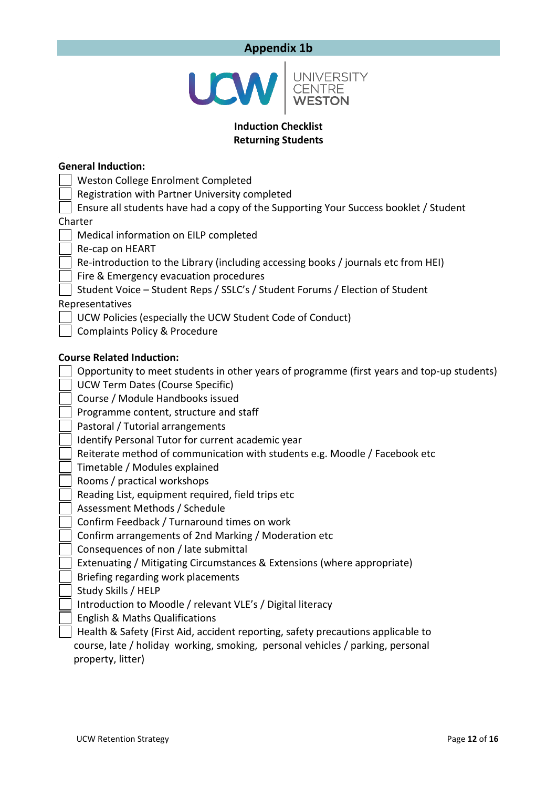# **Appendix 1b**



# **Induction Checklist Returning Students**

| <b>General Induction:</b>                                                                  |
|--------------------------------------------------------------------------------------------|
| Weston College Enrolment Completed                                                         |
| Registration with Partner University completed                                             |
| Ensure all students have had a copy of the Supporting Your Success booklet / Student       |
| Charter                                                                                    |
| Medical information on EILP completed                                                      |
| Re-cap on HEART                                                                            |
| Re-introduction to the Library (including accessing books / journals etc from HEI)         |
| Fire & Emergency evacuation procedures                                                     |
| Student Voice - Student Reps / SSLC's / Student Forums / Election of Student               |
| Representatives                                                                            |
| UCW Policies (especially the UCW Student Code of Conduct)                                  |
| <b>Complaints Policy &amp; Procedure</b>                                                   |
|                                                                                            |
| <b>Course Related Induction:</b>                                                           |
| Opportunity to meet students in other years of programme (first years and top-up students) |
| <b>UCW Term Dates (Course Specific)</b>                                                    |
| Course / Module Handbooks issued                                                           |
| Programme content, structure and staff                                                     |
| Pastoral / Tutorial arrangements                                                           |
| Identify Personal Tutor for current academic year                                          |
| Reiterate method of communication with students e.g. Moodle / Facebook etc                 |
| Timetable / Modules explained                                                              |
| Rooms / practical workshops                                                                |
| Reading List, equipment required, field trips etc                                          |
| Assessment Methods / Schedule                                                              |
| Confirm Feedback / Turnaround times on work                                                |
| Confirm arrangements of 2nd Marking / Moderation etc                                       |
| Consequences of non / late submittal                                                       |
| Extenuating / Mitigating Circumstances & Extensions (where appropriate)                    |
| Briefing regarding work placements                                                         |
| Study Skills / HELP                                                                        |
| Introduction to Moodle / relevant VLE's / Digital literacy                                 |
| <b>English &amp; Maths Qualifications</b>                                                  |

 Health & Safety (First Aid, accident reporting, safety precautions applicable to course, late / holiday working, smoking, personal vehicles / parking, personal property, litter)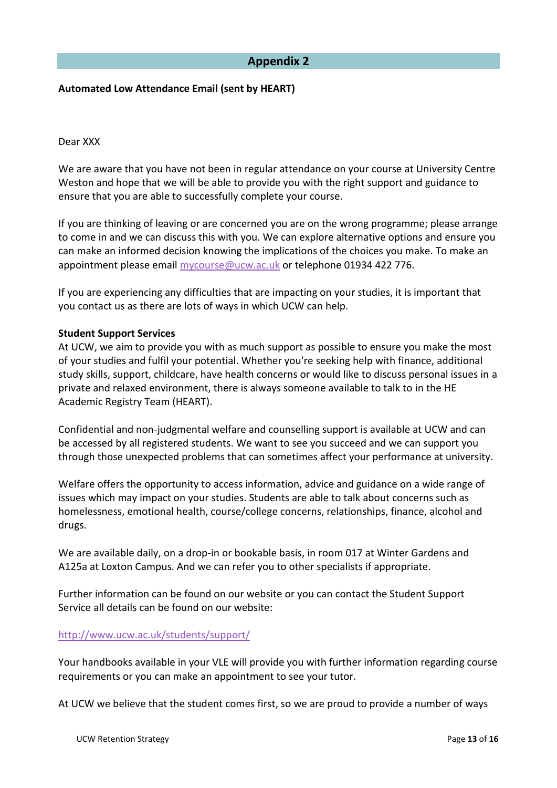# **Appendix 2**

#### **Automated Low Attendance Email (sent by HEART)**

#### Dear XXX

We are aware that you have not been in regular attendance on your course at University Centre Weston and hope that we will be able to provide you with the right support and guidance to ensure that you are able to successfully complete your course.

If you are thinking of leaving or are concerned you are on the wrong programme; please arrange to come in and we can discuss this with you. We can explore alternative options and ensure you can make an informed decision knowing the implications of the choices you make. To make an appointment please email [mycourse@ucw.ac.uk](mailto:mycourse@ucw.ac.uk) or telephone 01934 422 776.

If you are experiencing any difficulties that are impacting on your studies, it is important that you contact us as there are lots of ways in which UCW can help.

#### **Student Support Services**

At UCW, we aim to provide you with as much support as possible to ensure you make the most of your studies and fulfil your potential. Whether you're seeking help with finance, additional study skills, support, childcare, have health concerns or would like to discuss personal issues in a private and relaxed environment, there is always someone available to talk to in the HE Academic Registry Team (HEART).

Confidential and non-judgmental welfare and counselling support is available at UCW and can be accessed by all registered students. We want to see you succeed and we can support you through those unexpected problems that can sometimes affect your performance at university.

Welfare offers the opportunity to access information, advice and guidance on a wide range of issues which may impact on your studies. Students are able to talk about concerns such as homelessness, emotional health, course/college concerns, relationships, finance, alcohol and drugs.

We are available daily, on a drop-in or bookable basis, in room 017 at Winter Gardens and A125a at Loxton Campus. And we can refer you to other specialists if appropriate.

Further information can be found on our website or you can contact the Student Support Service all details can be found on our website:

#### <http://www.ucw.ac.uk/students/support/>

Your handbooks available in your VLE will provide you with further information regarding course requirements or you can make an appointment to see your tutor.

At UCW we believe that the student comes first, so we are proud to provide a number of ways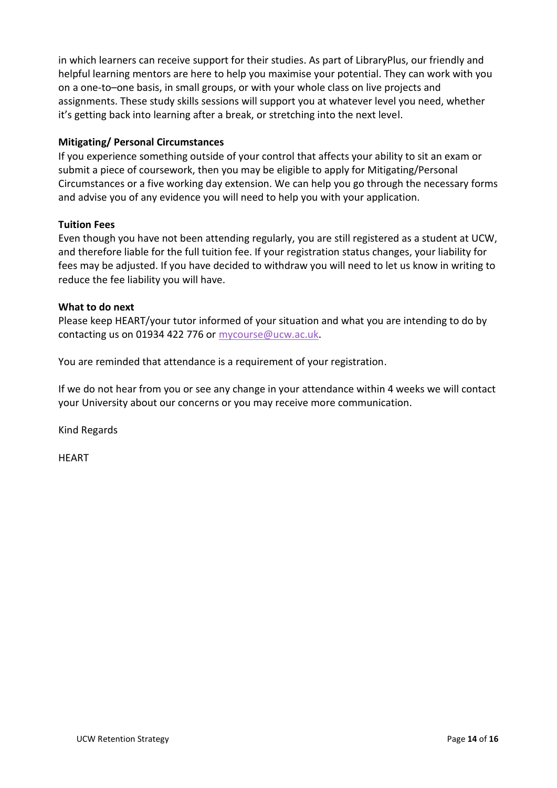in which learners can receive support for their studies. As part of LibraryPlus, our friendly and helpful learning mentors are here to help you maximise your potential. They can work with you on a one-to–one basis, in small groups, or with your whole class on live projects and assignments. These study skills sessions will support you at whatever level you need, whether it's getting back into learning after a break, or stretching into the next level.

# **Mitigating/ Personal Circumstances**

If you experience something outside of your control that affects your ability to sit an exam or submit a piece of coursework, then you may be eligible to apply for Mitigating/Personal Circumstances or a five working day extension. We can help you go through the necessary forms and advise you of any evidence you will need to help you with your application.

# **Tuition Fees**

Even though you have not been attending regularly, you are still registered as a student at UCW, and therefore liable for the full tuition fee. If your registration status changes, your liability for fees may be adjusted. If you have decided to withdraw you will need to let us know in writing to reduce the fee liability you will have.

# **What to do next**

Please keep HEART/your tutor informed of your situation and what you are intending to do by contacting us on 01934 422 776 or [mycourse@ucw.ac.uk.](mailto:mycourse@ucw.ac.uk)

You are reminded that attendance is a requirement of your registration.

If we do not hear from you or see any change in your attendance within 4 weeks we will contact your University about our concerns or you may receive more communication.

Kind Regards

HEART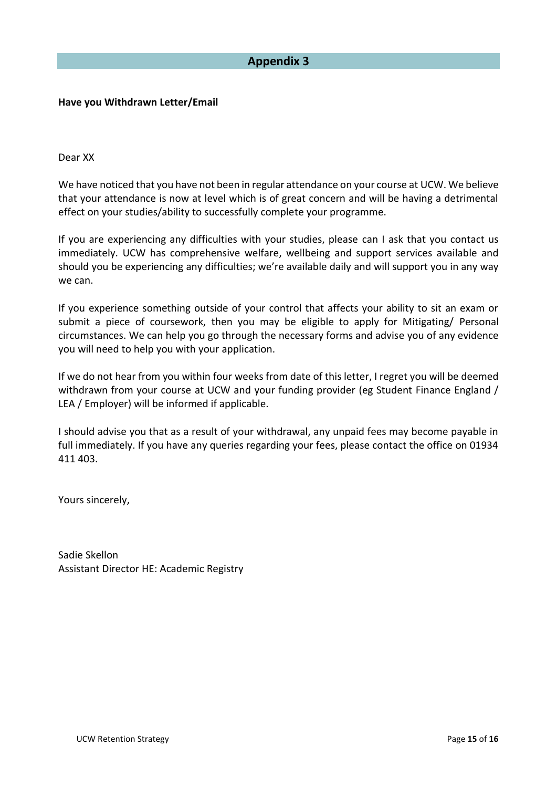# **Appendix 3**

#### **Have you Withdrawn Letter/Email**

Dear XX

We have noticed that you have not been in regular attendance on your course at UCW. We believe that your attendance is now at level which is of great concern and will be having a detrimental effect on your studies/ability to successfully complete your programme.

If you are experiencing any difficulties with your studies, please can I ask that you contact us immediately. UCW has comprehensive welfare, wellbeing and support services available and should you be experiencing any difficulties; we're available daily and will support you in any way we can.

If you experience something outside of your control that affects your ability to sit an exam or submit a piece of coursework, then you may be eligible to apply for Mitigating/ Personal circumstances. We can help you go through the necessary forms and advise you of any evidence you will need to help you with your application.

If we do not hear from you within four weeks from date of this letter, I regret you will be deemed withdrawn from your course at UCW and your funding provider (eg Student Finance England / LEA / Employer) will be informed if applicable.

I should advise you that as a result of your withdrawal, any unpaid fees may become payable in full immediately. If you have any queries regarding your fees, please contact the office on 01934 411 403.

Yours sincerely,

Sadie Skellon Assistant Director HE: Academic Registry